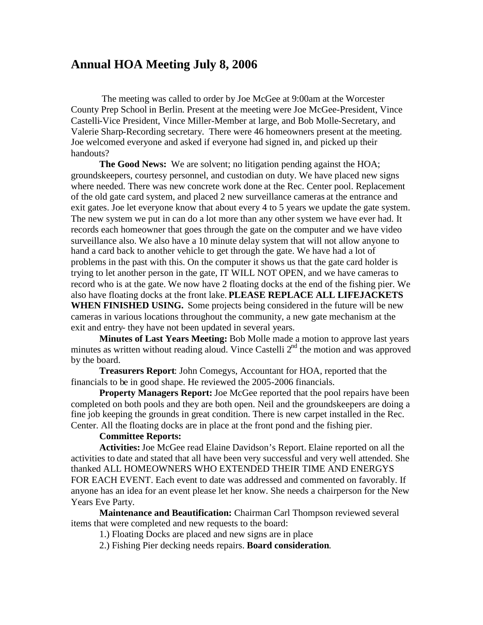# **Annual HOA Meeting July 8, 2006**

The meeting was called to order by Joe McGee at 9:00am at the Worcester County Prep School in Berlin. Present at the meeting were Joe McGee-President, Vince Castelli-Vice President, Vince Miller-Member at large, and Bob Molle-Secretary, and Valerie Sharp-Recording secretary. There were 46 homeowners present at the meeting. Joe welcomed everyone and asked if everyone had signed in, and picked up their handouts?

**The Good News:** We are solvent; no litigation pending against the HOA; groundskeepers, courtesy personnel, and custodian on duty. We have placed new signs where needed. There was new concrete work done at the Rec. Center pool. Replacement of the old gate card system, and placed 2 new surveillance cameras at the entrance and exit gates. Joe let everyone know that about every 4 to 5 years we update the gate system. The new system we put in can do a lot more than any other system we have ever had. It records each homeowner that goes through the gate on the computer and we have video surveillance also. We also have a 10 minute delay system that will not allow anyone to hand a card back to another vehicle to get through the gate. We have had a lot of problems in the past with this. On the computer it shows us that the gate card holder is trying to let another person in the gate, IT WILL NOT OPEN, and we have cameras to record who is at the gate. We now have 2 floating docks at the end of the fishing pier. We also have floating docks at the front lake. **PLEASE REPLACE ALL LIFEJACKETS WHEN FINISHED USING.** Some projects being considered in the future will be new cameras in various locations throughout the community, a new gate mechanism at the exit and entry- they have not been updated in several years.

**Minutes of Last Years Meeting:** Bob Molle made a motion to approve last years minutes as written without reading aloud. Vince Castelli  $2<sup>nd</sup>$  the motion and was approved by the board.

**Treasurers Report**: John Comegys, Accountant for HOA, reported that the financials to be in good shape. He reviewed the 2005-2006 financials.

**Property Managers Report:** Joe McGee reported that the pool repairs have been completed on both pools and they are both open. Neil and the groundskeepers are doing a fine job keeping the grounds in great condition. There is new carpet installed in the Rec. Center. All the floating docks are in place at the front pond and the fishing pier.

#### **Committee Reports:**

**Activities:**Joe McGee read Elaine Davidson's Report. Elaine reported on all the activities to date and stated that all have been very successful and very well attended. She thanked ALL HOMEOWNERS WHO EXTENDED THEIR TIME AND ENERGYS FOR EACH EVENT. Each event to date was addressed and commented on favorably. If anyone has an idea for an event please let her know. She needs a chairperson for the New Years Eve Party.

**Maintenance and Beautification:** Chairman Carl Thompson reviewed several items that were completed and new requests to the board:

1.) Floating Docks are placed and new signs are in place

2.) Fishing Pier decking needs repairs. **Board consideration**.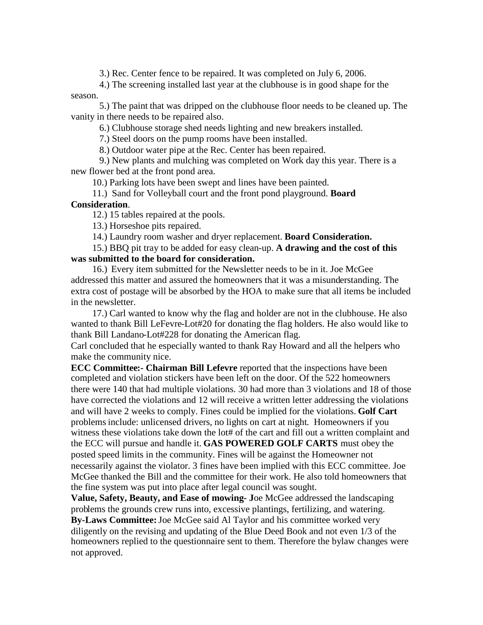3.) Rec. Center fence to be repaired. It was completed on July 6, 2006.

4.) The screening installed last year at the clubhouse is in good shape for the season.

5.) The paint that was dripped on the clubhouse floor needs to be cleaned up. The vanity in there needs to be repaired also.

6.) Clubhouse storage shed needs lighting and new breakers installed.

7.) Steel doors on the pump rooms have been installed.

8.) Outdoor water pipe at the Rec. Center has been repaired.

9.) New plants and mulching was completed on Work day this year. There is a new flower bed at the front pond area.

10.) Parking lots have been swept and lines have been painted.

11.) Sand for Volleyball court and the front pond playground. **Board**

## **Consideration**.

12.) 15 tables repaired at the pools.

13.) Horseshoe pits repaired.

14.) Laundry room washer and dryer replacement. **Board Consideration.**

15.) BBQ pit tray to be added for easy clean-up. **A drawing and the cost of this was submitted to the board for consideration.**

16.) Every item submitted for the Newsletter needs to be in it. Joe McGee addressed this matter and assured the homeowners that it was a misunderstanding. The extra cost of postage will be absorbed by the HOA to make sure that all items be included in the newsletter.

17.) Carl wanted to know why the flag and holder are not in the clubhouse. He also wanted to thank Bill LeFevre-Lot#20 for donating the flag holders. He also would like to thank Bill Landano-Lot#228 for donating the American flag.

Carl concluded that he especially wanted to thank Ray Howard and all the helpers who make the community nice.

**ECC Committee:- Chairman Bill Lefevre** reported that the inspections have been completed and violation stickers have been left on the door. Of the 522 homeowners there were 140 that had multiple violations. 30 had more than 3 violations and 18 of those have corrected the violations and 12 will receive a written letter addressing the violations and will have 2 weeks to comply. Fines could be implied for the violations. **Golf Cart** problems include: unlicensed drivers, no lights on cart at night. Homeowners if you witness these violations take down the lot# of the cart and fill out a written complaint and the ECC will pursue and handle it. **GAS POWERED GOLF CARTS** must obey the posted speed limits in the community. Fines will be against the Homeowner not necessarily against the violator. 3 fines have been implied with this ECC committee. Joe McGee thanked the Bill and the committee for their work. He also told homeowners that the fine system was put into place after legal council was sought.

**Value, Safety, Beauty, and Ease of mowing- J**oe McGee addressed the landscaping problems the grounds crew runs into, excessive plantings, fertilizing, and watering. **By-Laws Committee:**Joe McGee said Al Taylor and his committee worked very diligently on the revising and updating of the Blue Deed Book and not even 1/3 of the homeowners replied to the questionnaire sent to them. Therefore the bylaw changes were not approved.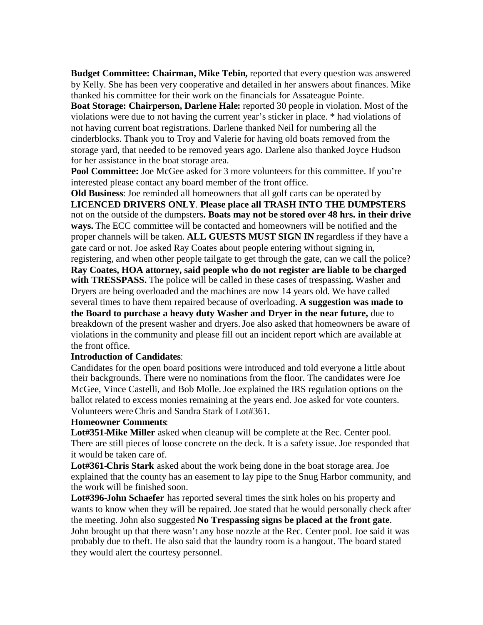**Budget Committee: Chairman, Mike Tebin,** reported that every question was answered by Kelly. She has been very cooperative and detailed in her answers about finances. Mike thanked his committee for their work on the financials for Assateague Pointe.

**Boat Storage: Chairperson, Darlene Hale:** reported 30 people in violation. Most of the violations were due to not having the current year's sticker in place. \* had violations of not having current boat registrations. Darlene thanked Neil for numbering all the cinderblocks. Thank you to Troy and Valerie for having old boats removed from the storage yard, that needed to be removed years ago. Darlene also thanked Joyce Hudson for her assistance in the boat storage area.

**Pool Committee:** Joe McGee asked for 3 more volunteers for this committee. If you're interested please contact any board member of the front office.

**Old Business**: Joe reminded all homeowners that all golf carts can be operated by **LICENCED DRIVERS ONLY**. **Please place all TRASH INTO THE DUMPSTERS** not on the outside of the dumpsters**. Boats may not be stored over 48 hrs. in their drive ways.** The ECC committee will be contacted and homeowners will be notified and the proper channels will be taken. **ALL GUESTS MUST SIGN IN** regardless if they have a gate card or not. Joe asked Ray Coates about people entering without signing in, registering, and when other people tailgate to get through the gate, can we call the police? **Ray Coates, HOA attorney, said people who do not register are liable to be charged with TRESSPASS.** The police will be called in these cases of trespassing**.** Washer and Dryers are being overloaded and the machines are now 14 years old. We have called several times to have them repaired because of overloading. **A suggestion was made to the Board to purchase a heavy duty Washer and Dryer in the near future,** due to breakdown of the present washer and dryers.Joe also asked that homeowners be aware of violations in the community and please fill out an incident report which are available at the front office.

### **Introduction of Candidates**:

Candidates for the open board positions were introduced and told everyone a little about their backgrounds. There were no nominations from the floor. The candidates were Joe McGee, Vince Castelli, and Bob Molle. Joe explained the IRS regulation options on the ballot related to excess monies remaining at the years end. Joe asked for vote counters. Volunteers were Chris and Sandra Stark of Lot#361.

### **Homeowner Comments**:

**Lot#351-Mike Miller** asked when cleanup will be complete at the Rec. Center pool. There are still pieces of loose concrete on the deck. It is a safety issue. Joe responded that it would be taken care of.

**Lot#361-Chris Stark** asked about the work being done in the boat storage area. Joe explained that the county has an easement to lay pipe to the Snug Harbor community, and the work will be finished soon.

**Lot#396-John Schaefer** has reported several times the sink holes on his property and wants to know when they will be repaired. Joe stated that he would personally check after the meeting. John also suggested **No Trespassing signs be placed at the front gate**. John brought up that there wasn't any hose nozzle at the Rec. Center pool. Joe said it was probably due to theft. He also said that the laundry room is a hangout. The board stated they would alert the courtesy personnel.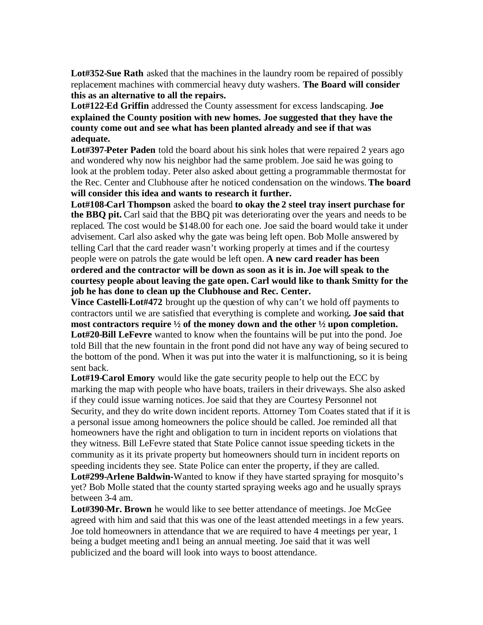**Lot#352-Sue Rath** asked that the machines in the laundry room be repaired of possibly replacement machines with commercial heavy duty washers. **The Board will consider this as an alternative to all the repairs.**

**Lot#122-Ed Griffin** addressed the County assessment for excess landscaping. **Joe explained the County position with new homes. Joe suggested that they have the county come out and see what has been planted already and see if that was adequate.**

**Lot#397-Peter Paden** told the board about his sink holes that were repaired 2 years ago and wondered why now his neighbor had the same problem. Joe said he was going to look at the problem today. Peter also asked about getting a programmable thermostat for the Rec. Center and Clubhouse after he noticed condensation on the windows. **The board will consider this idea and wants to research it further.**

**Lot#108-Carl Thompson** asked the board **to okay the 2 steel tray insert purchase for the BBQ pit.** Carl said that the BBQ pit was deteriorating over the years and needs to be replaced. The cost would be \$148.00 for each one. Joe said the board would take it under advisement. Carl also asked why the gate was being left open. Bob Molle answered by telling Carl that the card reader wasn't working properly at times and if the courtesy people were on patrols the gate would be left open. **A new card reader has been ordered and the contractor will be down as soon as it is in. Joe will speak to the courtesy people about leaving the gate open. Carl would like to thank Smitty for the job he has done to clean up the Clubhouse and Rec. Center.**

**Vince Castelli-Lot#472** brought up the question of why can't we hold off payments to contractors until we are satisfied that everything is complete and working**. Joe said that most contractors require ½ of the money down and the other ½ upon completion. Lot#20-Bill LeFevre** wanted to know when the fountains will be put into the pond. Joe told Bill that the new fountain in the front pond did not have any way of being secured to the bottom of the pond. When it was put into the water it is malfunctioning, so it is being sent back.

**Lot#19-Carol Emory** would like the gate security people to help out the ECC by marking the map with people who have boats, trailers in their driveways. She also asked if they could issue warning notices.Joe said that they are Courtesy Personnel not Security, and they do write down incident reports. Attorney Tom Coates stated that if it is a personal issue among homeowners the police should be called. Joe reminded all that homeowners have the right and obligation to turn in incident reports on violations that they witness. Bill LeFevre stated that State Police cannot issue speeding tickets in the community as it its private property but homeowners should turn in incident reports on speeding incidents they see. State Police can enter the property, if they are called. **Lot#299-Arlene Baldwin-**Wanted to know if they have started spraying for mosquito's

yet? Bob Molle stated that the county started spraying weeks ago and he usually sprays between 3-4 am.

**Lot#390-Mr. Brown** he would like to see better attendance of meetings. Joe McGee agreed with him and said that this was one of the least attended meetings in a few years. Joe told homeowners in attendance that we are required to have 4 meetings per year, 1 being a budget meeting and1 being an annual meeting. Joe said that it was well publicized and the board will look into ways to boost attendance.